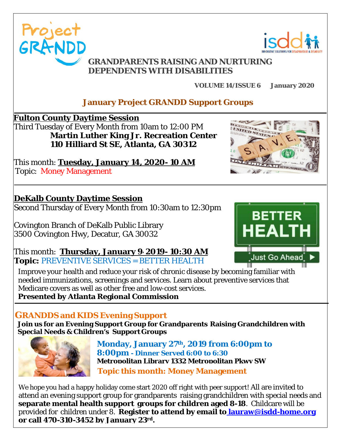



#### **GRANDPARENTS RAISING AND NURTURING DEPENDENTS WITH DISABILITIES**

**VOLUME 14/ISSUE 6 January 2020**

### **January Project GRANDD Support Groups**

 **Fulton County Daytime Session**

 Third Tuesday of Every Month from 10am to 12:00 PM **Martin Luther King Jr. Recreation Center 110 Hilliard St SE, Atlanta, GA 30312**

 This month: **Tuesday, January 14, 2020- 10 AM** Topic: Money Management

### **DeKalb County Daytime Session**

Second Thursday of Every Month from 10:30am to 12:30pm

 Covington Branch of DeKalb Public Library 3500 Covington Hwy, Decatur, GA 30032

 This month: **Thursday, January 9, 2019- 10:30 AM Topic:** PREVENTIVE SERVICES = BETTER HEALTH

Improve your health and reduce your risk of chronic disease by becoming familiar with needed immunizations, screenings and services. Learn about preventive services that Medicare covers as well as other free and low-cost services. **Presented by Atlanta Regional Commission**

### **GRANDDS and KIDS Evening Support**

**Join us for an Evening Support Group for Grandparents Raising Grandchildren with Special Needs & Children's Support Groups**



**Topic this month: Money Management Monday, January 27th, 2019 from 6:00pm to 8:00pm - Dinner Served 6:00 to 6:30 Metropolitan Library 1332 Metropolitan Pkwy SW**

We hope you had a happy holiday come start 2020 off right with peer support! All are invited to attend an evening support group for grandparents raising grandchildren with special needs and **separate mental health support groups for children aged 8-18**. Childcare will be provided for children under 8. **Register to attend by email to lauraw@isdd-home.org or call 470-310-3452 by January 23rd.**

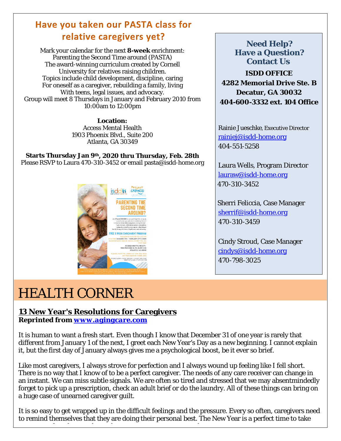### **Have you taken our PASTA class for relative caregivers yet?**

Mark your calendar for the next **8-week** enrichment: Parenting the Second Time around (PASTA) The award-winning curriculum created by Cornell University for relatives raising children. Topics include child development, discipline, caring For oneself as a caregiver, rebuilding a family, living With teens, legal issues, and advocacy. Group will meet 8 Thursdays in January and February 2010 from 10:00am to 12:00pm

> **Location:** Access Mental Health 1903 Phoenix Blvd., Suite 200 Atlanta, GA 30349

**Starts Thursday Jan 9th, 2020 thru Thursday, Feb. 28th** Please RSVP to Laura 470-310-3452 or email pasta@isdd-home.org



**ISDD OFFICE 4282 Memorial Drive Ste. B Decatur, GA 30032 404-600-3332 ext. 104 Office Need Help? Have a Question? Contact Us**

Rainie Jueschke, Executive Director [rainiej@isdd-home.org](mailto:rainiej@isdd-home.org) 404-551-5258

Laura Wells, Program Director [lauraw@isdd-home.org](mailto:lauraw@isdd-home.org) 470-310-3452

Sherri Feliccia, Case Manager [sherrif@isdd-home.org](mailto:sherrif@isdd-home.org) 470-310-3459

Cindy Stroud, Case Manager [cindys@isdd-home.org](mailto:cindys@isdd-home.org) 470-798-3025

## HEALTH CORNER

#### **13 New Year's Resolutions for Caregivers**

*Reprinted from [www.agingcare.com](http://www.agingcare.com/)*

It is human to want a fresh start. Even though I know that December 31 of one year is rarely that different from January 1 of the next, I greet each New Year's Day as a new beginning. I cannot explain it, but the first day of January always gives me a psychological boost, be it ever so brief.

Like most caregivers, I always strove for perfection and I always wound up feeling like I fell short. There is no way that I know of to be a perfect caregiver. The needs of any care receiver can change in an instant. We can miss subtle signals. We are often so tired and stressed that we may absentmindedly forget to pick up a prescription, check an adult brief or do the laundry. All of these things can bring on a huge case of unearned caregiver guilt.

It is so easy to get wrapped up in the difficult feelings and the pressure. Every so often, caregivers need to remind themselves that they are doing their personal best. The New Year is a perfect time to take

<u>f l de la handelskapet (de la handelskapet (de la handelskapet (de la handelskapet (de la handelskapet (de la</u>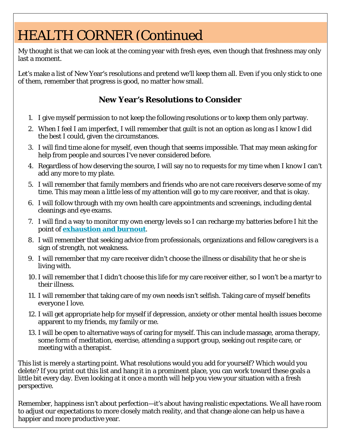# HEALTH CORNER (Continued

My thought is that we can look at the coming year with fresh eyes, even though that freshness may only last a moment.

Let's make a list of New Year's resolutions and pretend we'll keep them all. Even if you only stick to one of them, remember that progress is good, no matter how small.

#### **New Year's Resolutions to Consider**

- 1. I give myself permission to not keep the following resolutions or to keep them only partway.
- 2. When I feel I am imperfect, I will remember that guilt is not an option as long as I know I did the best I could, given the circumstances.
- 3. I will find time alone for myself, even though that seems impossible. That may mean asking for help from people and sources I've never considered before.
- 4. Regardless of how deserving the source, I will say no to requests for my time when I know I can't add any more to my plate.
- 5. I will remember that family members and friends who are not care receivers deserve some of my time. This may mean a little less of my attention will go to my care receiver, and that is okay.
- 6. I will follow through with my own health care appointments and screenings, including dental cleanings and eye exams.
- 7. I will find a way to monitor my own energy levels so I can recharge my batteries before I hit the point of **[exhaustion and burnout](https://www.agingcare.com/articles/caregiving-stress-burn-out-overwhelmed-140161.htm)**.
- 8. I will remember that seeking advice from professionals, organizations and fellow caregivers is a sign of strength, not weakness.
- 9. I will remember that my care receiver didn't choose the illness or disability that he or she is living with.
- 10.I will remember that I didn't choose this life for my care receiver either, so I won't be a martyr to their illness.
- 11. I will remember that taking care of my own needs isn't selfish. Taking care of myself benefits everyone I love.
- 12. I will get appropriate help for myself if depression, anxiety or other mental health issues become apparent to my friends, my family or me.
- 13. I will be open to alternative ways of caring for myself. This can include massage, aroma therapy, some form of meditation, exercise, attending a support group, seeking out respite care, or meeting with a therapist.

This list is merely a starting point. What resolutions would you add for yourself? Which would you delete? If you print out this list and hang it in a prominent place, you can work toward these goals a little bit every day. Even looking at it once a month will help you view your situation with a fresh perspective.

Remember, happiness isn't about perfection—it's about having realistic expectations. We all have room to adjust our expectations to more closely match reality, and that change alone can help us have a happier and more productive year.